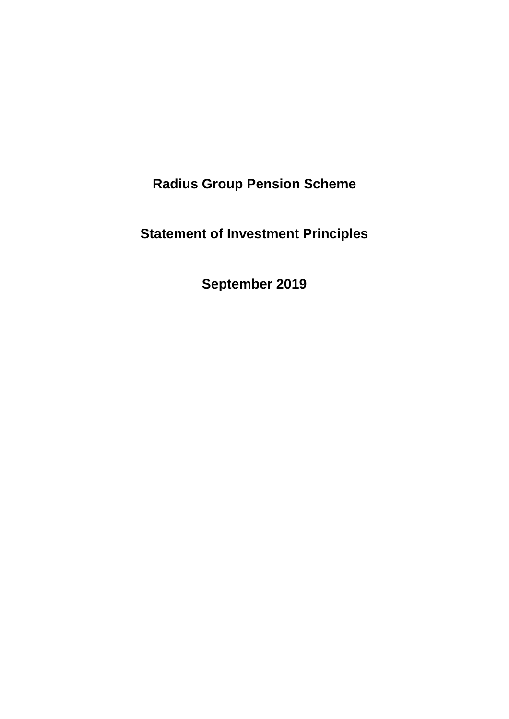**Radius Group Pension Scheme**

**Statement of Investment Principles**

**September 2019**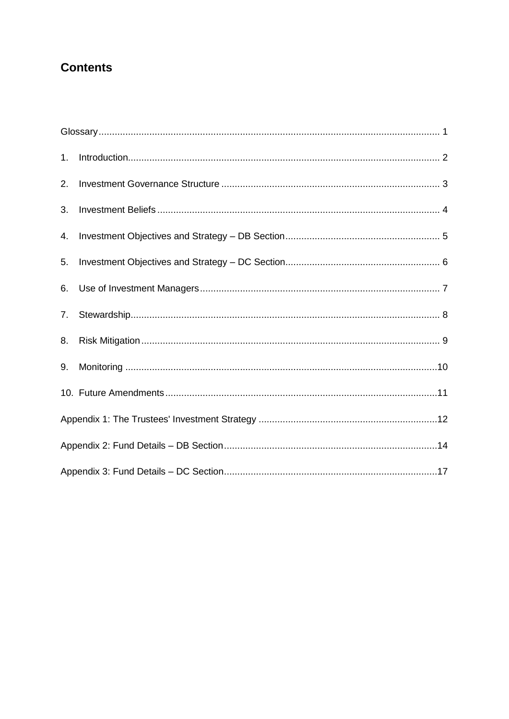# **Contents**

| 1. |  |  |  |
|----|--|--|--|
| 2. |  |  |  |
| 3. |  |  |  |
| 4. |  |  |  |
| 5. |  |  |  |
| 6. |  |  |  |
| 7. |  |  |  |
| 8. |  |  |  |
| 9. |  |  |  |
|    |  |  |  |
|    |  |  |  |
|    |  |  |  |
|    |  |  |  |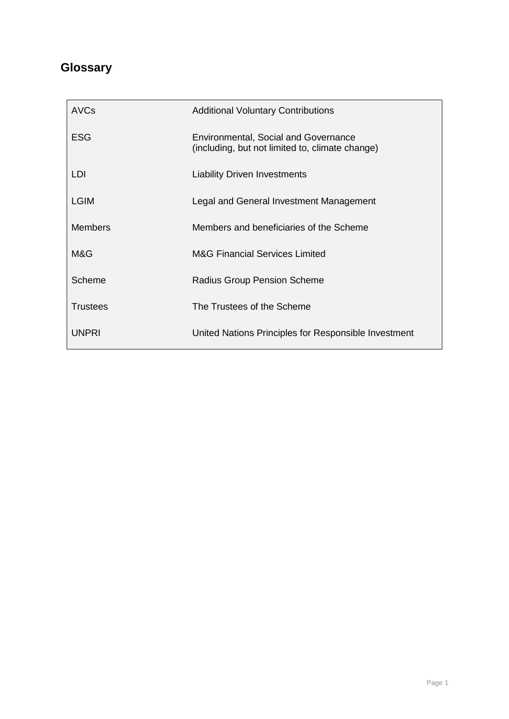# <span id="page-2-0"></span>**Glossary**

| AVCs            | <b>Additional Voluntary Contributions</b>                                                      |
|-----------------|------------------------------------------------------------------------------------------------|
| <b>ESG</b>      | <b>Environmental, Social and Governance</b><br>(including, but not limited to, climate change) |
| LDI.            | <b>Liability Driven Investments</b>                                                            |
| <b>LGIM</b>     | Legal and General Investment Management                                                        |
| <b>Members</b>  | Members and beneficiaries of the Scheme                                                        |
| M&G             | <b>M&amp;G Financial Services Limited</b>                                                      |
| Scheme          | <b>Radius Group Pension Scheme</b>                                                             |
| <b>Trustees</b> | The Trustees of the Scheme                                                                     |
| <b>UNPRI</b>    | United Nations Principles for Responsible Investment                                           |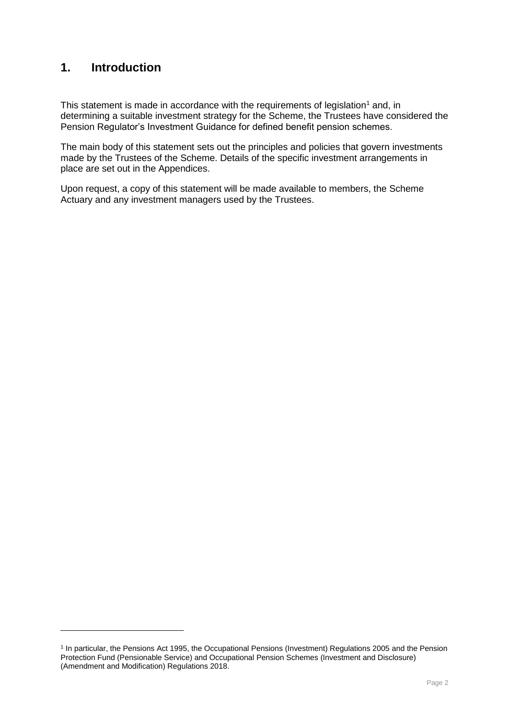## <span id="page-3-0"></span>**1. Introduction**

This statement is made in accordance with the requirements of legislation<sup>1</sup> and, in determining a suitable investment strategy for the Scheme, the Trustees have considered the Pension Regulator's Investment Guidance for defined benefit pension schemes.

The main body of this statement sets out the principles and policies that govern investments made by the Trustees of the Scheme. Details of the specific investment arrangements in place are set out in the Appendices.

Upon request, a copy of this statement will be made available to members, the Scheme Actuary and any investment managers used by the Trustees.

<sup>1</sup> In particular, the Pensions Act 1995, the Occupational Pensions (Investment) Regulations 2005 and the Pension Protection Fund (Pensionable Service) and Occupational Pension Schemes (Investment and Disclosure) (Amendment and Modification) Regulations 2018.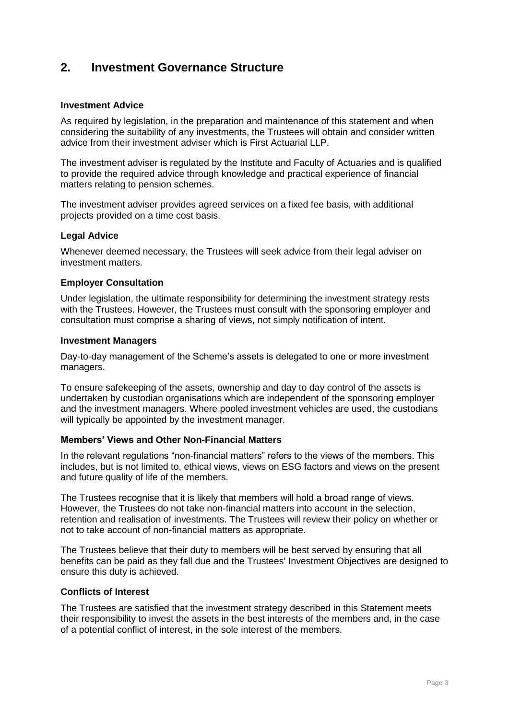## <span id="page-4-0"></span>**2. Investment Governance Structure**

#### **Investment Advice**

As required by legislation, in the preparation and maintenance of this statement and when considering the suitability of any investments, the Trustees will obtain and consider written advice from their investment adviser which is First Actuarial LLP.

The investment adviser is regulated by the Institute and Faculty of Actuaries and is qualified to provide the required advice through knowledge and practical experience of financial matters relating to pension schemes.

The investment adviser provides agreed services on a fixed fee basis, with additional projects provided on a time cost basis.

#### **Legal Advice**

Whenever deemed necessary, the Trustees will seek advice from their legal adviser on investment matters.

#### **Employer Consultation**

Under legislation, the ultimate responsibility for determining the investment strategy rests with the Trustees. However, the Trustees must consult with the sponsoring employer and consultation must comprise a sharing of views, not simply notification of intent.

#### **Investment Managers**

Day-to-day management of the Scheme's assets is delegated to one or more investment managers.

To ensure safekeeping of the assets, ownership and day to day control of the assets is undertaken by custodian organisations which are independent of the sponsoring employer and the investment managers. Where pooled investment vehicles are used, the custodians will typically be appointed by the investment manager.

#### **Members' Views and Other Non-Financial Matters**

In the relevant regulations "non-financial matters" refers to the views of the members. This includes, but is not limited to, ethical views, views on ESG factors and views on the present and future quality of life of the members.

The Trustees recognise that it is likely that members will hold a broad range of views. However, the Trustees do not take non-financial matters into account in the selection, retention and realisation of investments. The Trustees will review their policy on whether or not to take account of non-financial matters as appropriate.

The Trustees believe that their duty to members will be best served by ensuring that all benefits can be paid as they fall due and the Trustees' Investment Objectives are designed to ensure this duty is achieved.

#### **Conflicts of Interest**

The Trustees are satisfied that the investment strategy described in this Statement meets their responsibility to invest the assets in the best interests of the members and, in the case of a potential conflict of interest, in the sole interest of the members.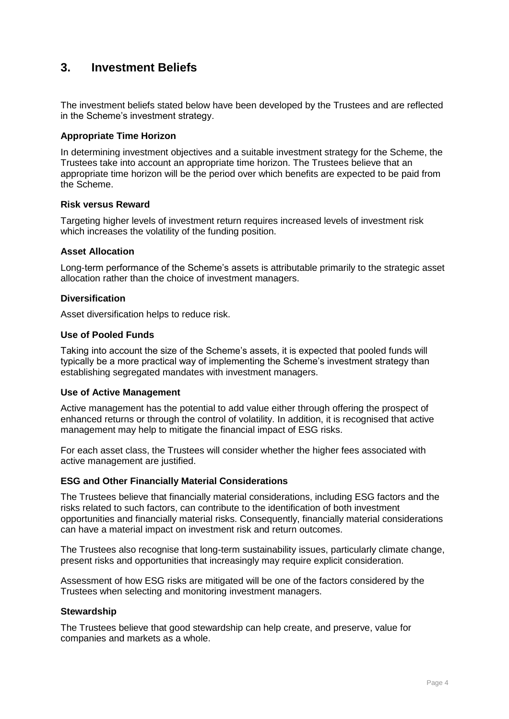## <span id="page-5-0"></span>**3. Investment Beliefs**

The investment beliefs stated below have been developed by the Trustees and are reflected in the Scheme's investment strategy.

## **Appropriate Time Horizon**

In determining investment objectives and a suitable investment strategy for the Scheme, the Trustees take into account an appropriate time horizon. The Trustees believe that an appropriate time horizon will be the period over which benefits are expected to be paid from the Scheme.

#### **Risk versus Reward**

Targeting higher levels of investment return requires increased levels of investment risk which increases the volatility of the funding position.

#### **Asset Allocation**

Long-term performance of the Scheme's assets is attributable primarily to the strategic asset allocation rather than the choice of investment managers.

#### **Diversification**

Asset diversification helps to reduce risk.

#### **Use of Pooled Funds**

Taking into account the size of the Scheme's assets, it is expected that pooled funds will typically be a more practical way of implementing the Scheme's investment strategy than establishing segregated mandates with investment managers.

#### **Use of Active Management**

Active management has the potential to add value either through offering the prospect of enhanced returns or through the control of volatility. In addition, it is recognised that active management may help to mitigate the financial impact of ESG risks.

For each asset class, the Trustees will consider whether the higher fees associated with active management are justified.

#### **ESG and Other Financially Material Considerations**

The Trustees believe that financially material considerations, including ESG factors and the risks related to such factors, can contribute to the identification of both investment opportunities and financially material risks. Consequently, financially material considerations can have a material impact on investment risk and return outcomes.

The Trustees also recognise that long-term sustainability issues, particularly climate change, present risks and opportunities that increasingly may require explicit consideration.

Assessment of how ESG risks are mitigated will be one of the factors considered by the Trustees when selecting and monitoring investment managers.

#### **Stewardship**

The Trustees believe that good stewardship can help create, and preserve, value for companies and markets as a whole.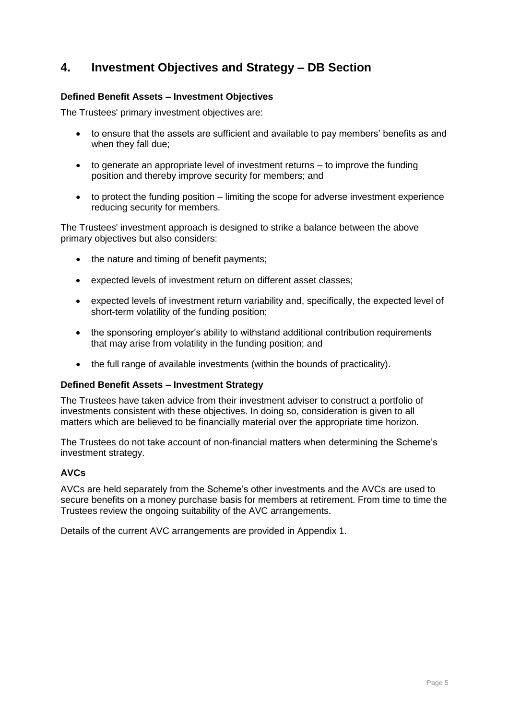## <span id="page-6-0"></span>**4. Investment Objectives and Strategy – DB Section**

## **Defined Benefit Assets – Investment Objectives**

The Trustees' primary investment objectives are:

- to ensure that the assets are sufficient and available to pay members' benefits as and when they fall due;
- to generate an appropriate level of investment returns to improve the funding position and thereby improve security for members; and
- to protect the funding position limiting the scope for adverse investment experience reducing security for members.

The Trustees' investment approach is designed to strike a balance between the above primary objectives but also considers:

- the nature and timing of benefit payments;
- expected levels of investment return on different asset classes;
- expected levels of investment return variability and, specifically, the expected level of short-term volatility of the funding position;
- the sponsoring employer's ability to withstand additional contribution requirements that may arise from volatility in the funding position; and
- the full range of available investments (within the bounds of practicality).

#### **Defined Benefit Assets – Investment Strategy**

The Trustees have taken advice from their investment adviser to construct a portfolio of investments consistent with these objectives. In doing so, consideration is given to all matters which are believed to be financially material over the appropriate time horizon.

The Trustees do not take account of non-financial matters when determining the Scheme's investment strategy.

## **AVCs**

AVCs are held separately from the Scheme's other investments and the AVCs are used to secure benefits on a money purchase basis for members at retirement. From time to time the Trustees review the ongoing suitability of the AVC arrangements.

Details of the current AVC arrangements are provided in Appendix 1.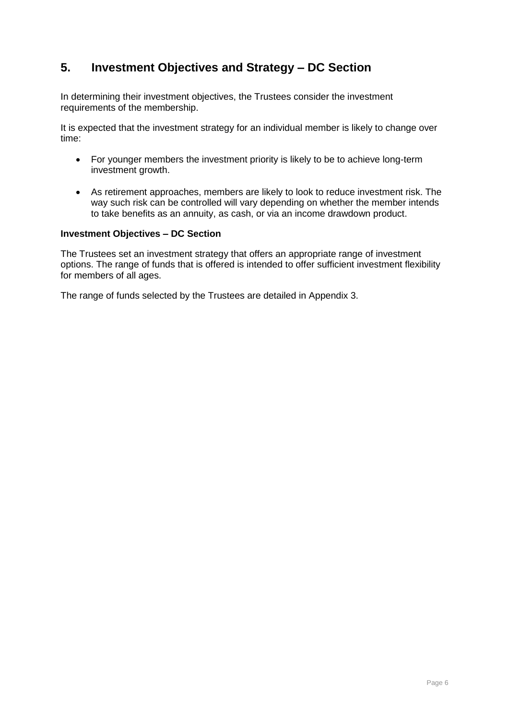# <span id="page-7-0"></span>**5. Investment Objectives and Strategy – DC Section**

In determining their investment objectives, the Trustees consider the investment requirements of the membership.

It is expected that the investment strategy for an individual member is likely to change over time:

- For younger members the investment priority is likely to be to achieve long-term investment growth.
- As retirement approaches, members are likely to look to reduce investment risk. The way such risk can be controlled will vary depending on whether the member intends to take benefits as an annuity, as cash, or via an income drawdown product.

#### **Investment Objectives – DC Section**

The Trustees set an investment strategy that offers an appropriate range of investment options. The range of funds that is offered is intended to offer sufficient investment flexibility for members of all ages.

The range of funds selected by the Trustees are detailed in Appendix 3.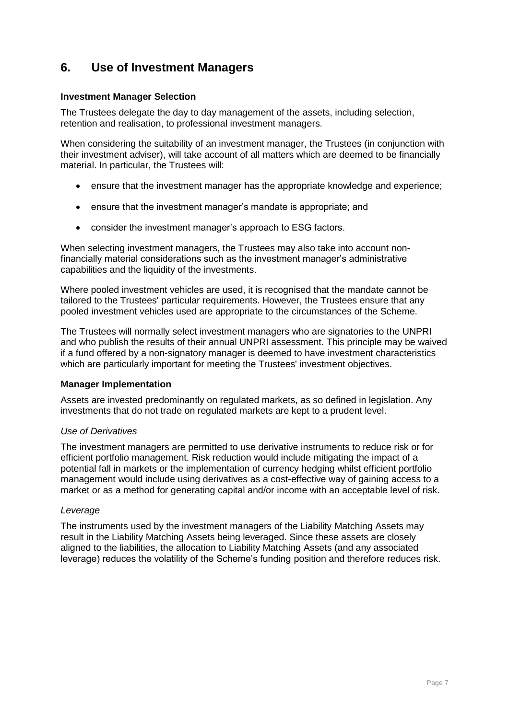## <span id="page-8-0"></span>**6. Use of Investment Managers**

## **Investment Manager Selection**

The Trustees delegate the day to day management of the assets, including selection, retention and realisation, to professional investment managers.

When considering the suitability of an investment manager, the Trustees (in conjunction with their investment adviser), will take account of all matters which are deemed to be financially material. In particular, the Trustees will:

- ensure that the investment manager has the appropriate knowledge and experience;
- ensure that the investment manager's mandate is appropriate; and
- consider the investment manager's approach to ESG factors.

When selecting investment managers, the Trustees may also take into account nonfinancially material considerations such as the investment manager's administrative capabilities and the liquidity of the investments.

Where pooled investment vehicles are used, it is recognised that the mandate cannot be tailored to the Trustees' particular requirements. However, the Trustees ensure that any pooled investment vehicles used are appropriate to the circumstances of the Scheme.

The Trustees will normally select investment managers who are signatories to the UNPRI and who publish the results of their annual UNPRI assessment. This principle may be waived if a fund offered by a non-signatory manager is deemed to have investment characteristics which are particularly important for meeting the Trustees' investment objectives.

## **Manager Implementation**

Assets are invested predominantly on regulated markets, as so defined in legislation. Any investments that do not trade on regulated markets are kept to a prudent level.

## *Use of Derivatives*

The investment managers are permitted to use derivative instruments to reduce risk or for efficient portfolio management. Risk reduction would include mitigating the impact of a potential fall in markets or the implementation of currency hedging whilst efficient portfolio management would include using derivatives as a cost-effective way of gaining access to a market or as a method for generating capital and/or income with an acceptable level of risk.

#### *Leverage*

The instruments used by the investment managers of the Liability Matching Assets may result in the Liability Matching Assets being leveraged. Since these assets are closely aligned to the liabilities, the allocation to Liability Matching Assets (and any associated leverage) reduces the volatility of the Scheme's funding position and therefore reduces risk.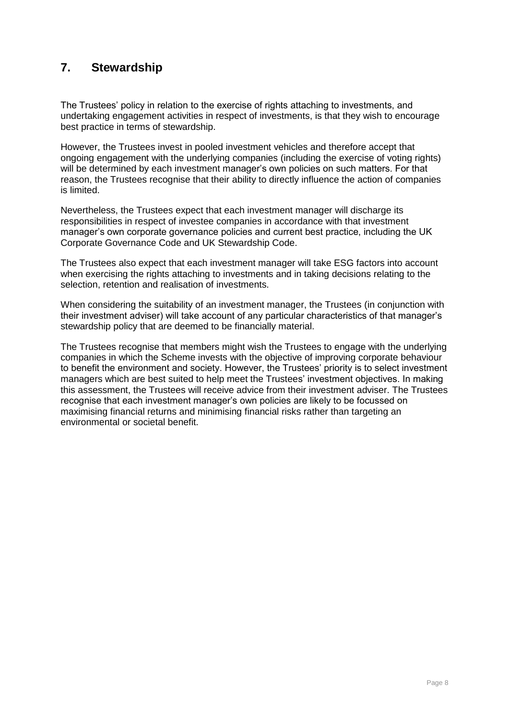## <span id="page-9-0"></span>**7. Stewardship**

The Trustees' policy in relation to the exercise of rights attaching to investments, and undertaking engagement activities in respect of investments, is that they wish to encourage best practice in terms of stewardship.

However, the Trustees invest in pooled investment vehicles and therefore accept that ongoing engagement with the underlying companies (including the exercise of voting rights) will be determined by each investment manager's own policies on such matters. For that reason, the Trustees recognise that their ability to directly influence the action of companies is limited.

Nevertheless, the Trustees expect that each investment manager will discharge its responsibilities in respect of investee companies in accordance with that investment manager's own corporate governance policies and current best practice, including the UK Corporate Governance Code and UK Stewardship Code.

The Trustees also expect that each investment manager will take ESG factors into account when exercising the rights attaching to investments and in taking decisions relating to the selection, retention and realisation of investments.

When considering the suitability of an investment manager, the Trustees (in conjunction with their investment adviser) will take account of any particular characteristics of that manager's stewardship policy that are deemed to be financially material.

The Trustees recognise that members might wish the Trustees to engage with the underlying companies in which the Scheme invests with the objective of improving corporate behaviour to benefit the environment and society. However, the Trustees' priority is to select investment managers which are best suited to help meet the Trustees' investment objectives. In making this assessment, the Trustees will receive advice from their investment adviser. The Trustees recognise that each investment manager's own policies are likely to be focussed on maximising financial returns and minimising financial risks rather than targeting an environmental or societal benefit.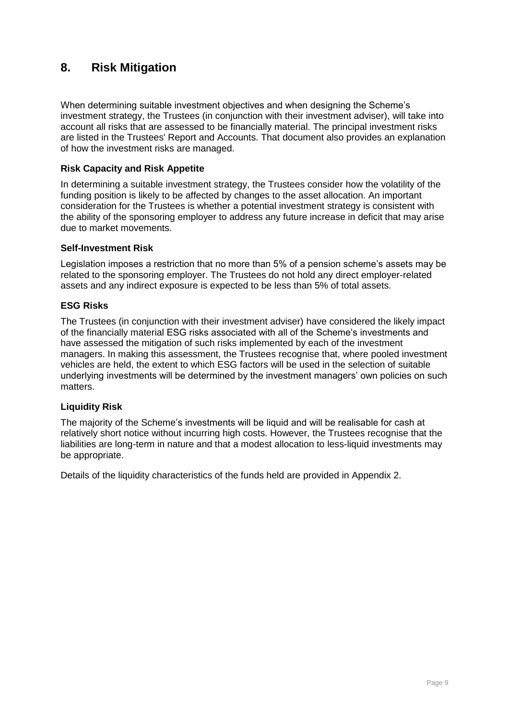## <span id="page-10-0"></span>**8. Risk Mitigation**

When determining suitable investment objectives and when designing the Scheme's investment strategy, the Trustees (in conjunction with their investment adviser), will take into account all risks that are assessed to be financially material. The principal investment risks are listed in the Trustees' Report and Accounts. That document also provides an explanation of how the investment risks are managed.

## **Risk Capacity and Risk Appetite**

In determining a suitable investment strategy, the Trustees consider how the volatility of the funding position is likely to be affected by changes to the asset allocation. An important consideration for the Trustees is whether a potential investment strategy is consistent with the ability of the sponsoring employer to address any future increase in deficit that may arise due to market movements.

## **Self-Investment Risk**

Legislation imposes a restriction that no more than 5% of a pension scheme's assets may be related to the sponsoring employer. The Trustees do not hold any direct employer-related assets and any indirect exposure is expected to be less than 5% of total assets.

## **ESG Risks**

The Trustees (in conjunction with their investment adviser) have considered the likely impact of the financially material ESG risks associated with all of the Scheme's investments and have assessed the mitigation of such risks implemented by each of the investment managers. In making this assessment, the Trustees recognise that, where pooled investment vehicles are held, the extent to which ESG factors will be used in the selection of suitable underlying investments will be determined by the investment managers' own policies on such matters.

## **Liquidity Risk**

The majority of the Scheme's investments will be liquid and will be realisable for cash at relatively short notice without incurring high costs. However, the Trustees recognise that the liabilities are long-term in nature and that a modest allocation to less-liquid investments may be appropriate.

Details of the liquidity characteristics of the funds held are provided in Appendix 2.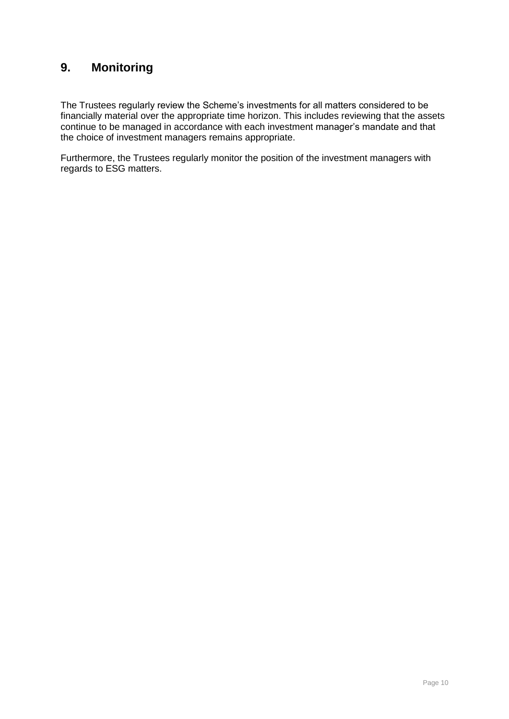# <span id="page-11-0"></span>**9. Monitoring**

The Trustees regularly review the Scheme's investments for all matters considered to be financially material over the appropriate time horizon. This includes reviewing that the assets continue to be managed in accordance with each investment manager's mandate and that the choice of investment managers remains appropriate.

Furthermore, the Trustees regularly monitor the position of the investment managers with regards to ESG matters.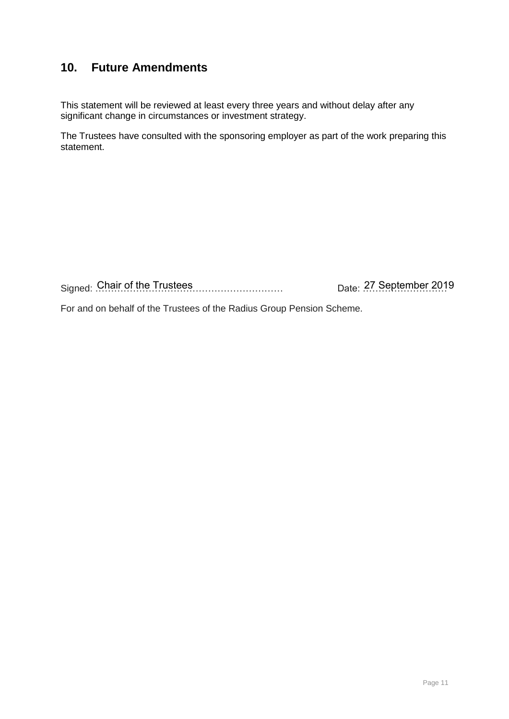## <span id="page-12-0"></span>**10. Future Amendments**

This statement will be reviewed at least every three years and without delay after any significant change in circumstances or investment strategy.

The Trustees have consulted with the sponsoring employer as part of the work preparing this statement.

Signed: Chair of the Trustees 2009 - Signed: Chair of the Trustees 2019 - September 2019

For and on behalf of the Trustees of the Radius Group Pension Scheme.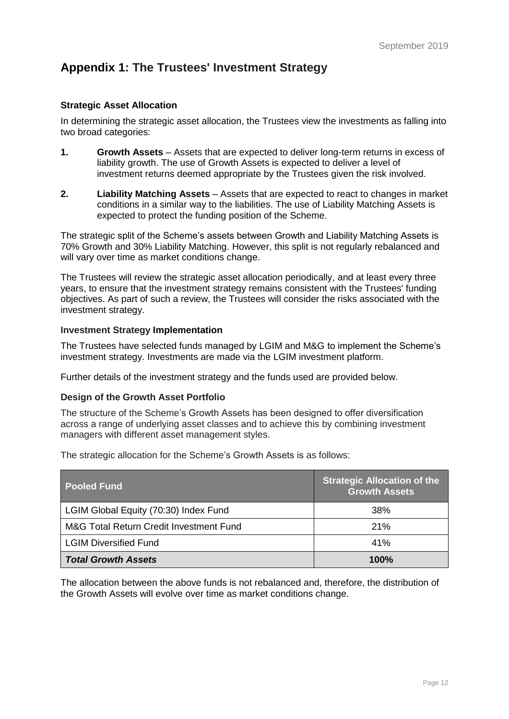# <span id="page-13-0"></span>**Appendix 1: The Trustees' Investment Strategy**

## **Strategic Asset Allocation**

In determining the strategic asset allocation, the Trustees view the investments as falling into two broad categories:

- **1. Growth Assets** Assets that are expected to deliver long-term returns in excess of liability growth. The use of Growth Assets is expected to deliver a level of investment returns deemed appropriate by the Trustees given the risk involved.
- **2. Liability Matching Assets** Assets that are expected to react to changes in market conditions in a similar way to the liabilities. The use of Liability Matching Assets is expected to protect the funding position of the Scheme.

The strategic split of the Scheme's assets between Growth and Liability Matching Assets is 70% Growth and 30% Liability Matching. However, this split is not regularly rebalanced and will vary over time as market conditions change.

The Trustees will review the strategic asset allocation periodically, and at least every three years, to ensure that the investment strategy remains consistent with the Trustees' funding objectives. As part of such a review, the Trustees will consider the risks associated with the investment strategy.

#### **Investment Strategy Implementation**

The Trustees have selected funds managed by LGIM and M&G to implement the Scheme's investment strategy. Investments are made via the LGIM investment platform.

Further details of the investment strategy and the funds used are provided below.

#### **Design of the Growth Asset Portfolio**

The structure of the Scheme's Growth Assets has been designed to offer diversification across a range of underlying asset classes and to achieve this by combining investment managers with different asset management styles.

The strategic allocation for the Scheme's Growth Assets is as follows:

| <b>Pooled Fund</b>                      | <b>Strategic Allocation of the</b><br><b>Growth Assets</b> |
|-----------------------------------------|------------------------------------------------------------|
| LGIM Global Equity (70:30) Index Fund   | 38%                                                        |
| M&G Total Return Credit Investment Fund | 21%                                                        |
| <b>LGIM Diversified Fund</b>            | 41%                                                        |
| <b>Total Growth Assets</b>              | $100\%$                                                    |

The allocation between the above funds is not rebalanced and, therefore, the distribution of the Growth Assets will evolve over time as market conditions change.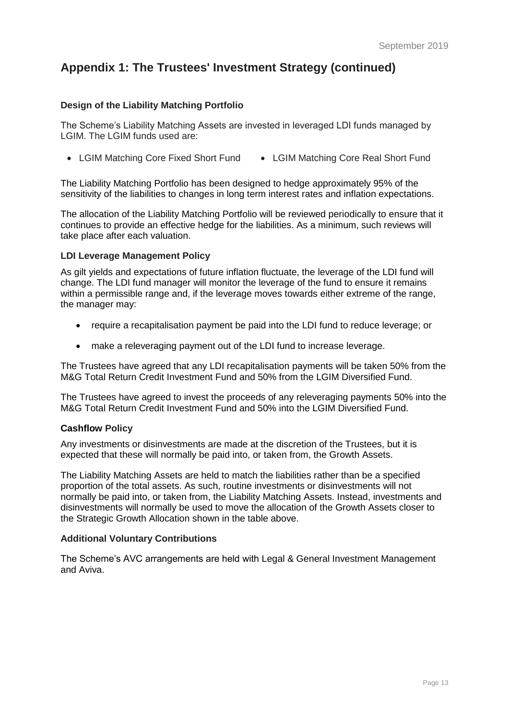# **Appendix 1: The Trustees' Investment Strategy (continued)**

## **Design of the Liability Matching Portfolio**

The Scheme's Liability Matching Assets are invested in leveraged LDI funds managed by LGIM. The LGIM funds used are:

• LGIM Matching Core Fixed Short Fund • LGIM Matching Core Real Short Fund

The Liability Matching Portfolio has been designed to hedge approximately 95% of the sensitivity of the liabilities to changes in long term interest rates and inflation expectations.

The allocation of the Liability Matching Portfolio will be reviewed periodically to ensure that it continues to provide an effective hedge for the liabilities. As a minimum, such reviews will take place after each valuation.

## **LDI Leverage Management Policy**

As gilt yields and expectations of future inflation fluctuate, the leverage of the LDI fund will change. The LDI fund manager will monitor the leverage of the fund to ensure it remains within a permissible range and, if the leverage moves towards either extreme of the range, the manager may:

- require a recapitalisation payment be paid into the LDI fund to reduce leverage; or
- make a releveraging payment out of the LDI fund to increase leverage.

The Trustees have agreed that any LDI recapitalisation payments will be taken 50% from the M&G Total Return Credit Investment Fund and 50% from the LGIM Diversified Fund.

The Trustees have agreed to invest the proceeds of any releveraging payments 50% into the M&G Total Return Credit Investment Fund and 50% into the LGIM Diversified Fund.

## **Cashflow Policy**

Any investments or disinvestments are made at the discretion of the Trustees, but it is expected that these will normally be paid into, or taken from, the Growth Assets.

The Liability Matching Assets are held to match the liabilities rather than be a specified proportion of the total assets. As such, routine investments or disinvestments will not normally be paid into, or taken from, the Liability Matching Assets. Instead, investments and disinvestments will normally be used to move the allocation of the Growth Assets closer to the Strategic Growth Allocation shown in the table above.

#### **Additional Voluntary Contributions**

The Scheme's AVC arrangements are held with Legal & General Investment Management and Aviva.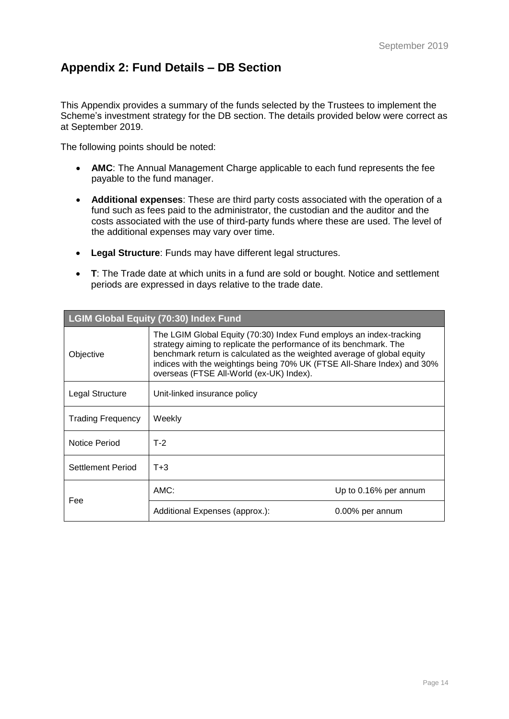# <span id="page-15-0"></span>**Appendix 2: Fund Details – DB Section**

This Appendix provides a summary of the funds selected by the Trustees to implement the Scheme's investment strategy for the DB section. The details provided below were correct as at September 2019.

The following points should be noted:

- **AMC**: The Annual Management Charge applicable to each fund represents the fee payable to the fund manager.
- **Additional expenses**: These are third party costs associated with the operation of a fund such as fees paid to the administrator, the custodian and the auditor and the costs associated with the use of third-party funds where these are used. The level of the additional expenses may vary over time.
- **Legal Structure**: Funds may have different legal structures.
- **T**: The Trade date at which units in a fund are sold or bought. Notice and settlement periods are expressed in days relative to the trade date.

| LGIM Global Equity (70:30) Index Fund           |                                                                                                                                                                                                                                                                                                                                             |                       |  |
|-------------------------------------------------|---------------------------------------------------------------------------------------------------------------------------------------------------------------------------------------------------------------------------------------------------------------------------------------------------------------------------------------------|-----------------------|--|
| Objective                                       | The LGIM Global Equity (70:30) Index Fund employs an index-tracking<br>strategy aiming to replicate the performance of its benchmark. The<br>benchmark return is calculated as the weighted average of global equity<br>indices with the weightings being 70% UK (FTSE All-Share Index) and 30%<br>overseas (FTSE All-World (ex-UK) Index). |                       |  |
| Legal Structure<br>Unit-linked insurance policy |                                                                                                                                                                                                                                                                                                                                             |                       |  |
| <b>Trading Frequency</b>                        | Weekly                                                                                                                                                                                                                                                                                                                                      |                       |  |
| Notice Period                                   | $T-2$                                                                                                                                                                                                                                                                                                                                       |                       |  |
| Settlement Period                               | $T+3$                                                                                                                                                                                                                                                                                                                                       |                       |  |
| Fee                                             | AMC:                                                                                                                                                                                                                                                                                                                                        | Up to 0.16% per annum |  |
|                                                 | Additional Expenses (approx.):                                                                                                                                                                                                                                                                                                              | 0.00% per annum       |  |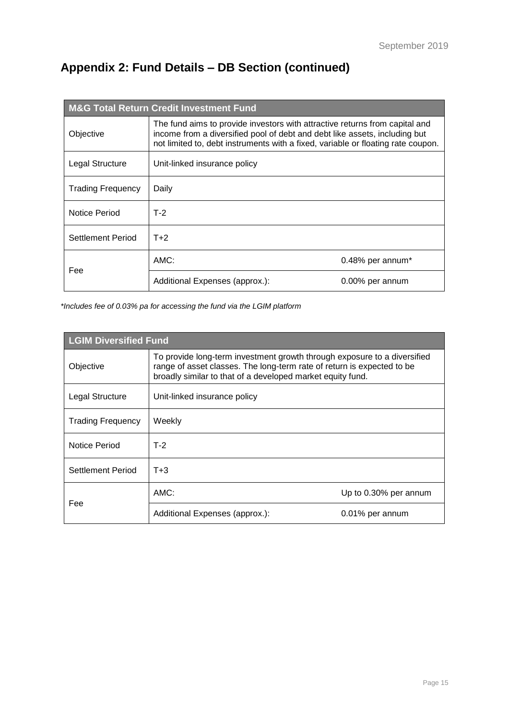# **Appendix 2: Fund Details – DB Section (continued)**

| <b>M&amp;G Total Return Credit Investment Fund</b> |                                                                                                                                                                                                                                               |                  |  |
|----------------------------------------------------|-----------------------------------------------------------------------------------------------------------------------------------------------------------------------------------------------------------------------------------------------|------------------|--|
| Objective                                          | The fund aims to provide investors with attractive returns from capital and<br>income from a diversified pool of debt and debt like assets, including but<br>not limited to, debt instruments with a fixed, variable or floating rate coupon. |                  |  |
| Legal Structure                                    | Unit-linked insurance policy                                                                                                                                                                                                                  |                  |  |
| <b>Trading Frequency</b>                           | Daily                                                                                                                                                                                                                                         |                  |  |
| Notice Period                                      | $T-2$                                                                                                                                                                                                                                         |                  |  |
| Settlement Period                                  | $T+2$                                                                                                                                                                                                                                         |                  |  |
| Fee                                                | AMC:                                                                                                                                                                                                                                          | 0.48% per annum* |  |
|                                                    | Additional Expenses (approx.):                                                                                                                                                                                                                | 0.00% per annum  |  |

*\*Includes fee of 0.03% pa for accessing the fund via the LGIM platform*

| <b>LGIM Diversified Fund</b> |                                                                                                                                                                                                                  |                       |  |
|------------------------------|------------------------------------------------------------------------------------------------------------------------------------------------------------------------------------------------------------------|-----------------------|--|
| Objective                    | To provide long-term investment growth through exposure to a diversified<br>range of asset classes. The long-term rate of return is expected to be<br>broadly similar to that of a developed market equity fund. |                       |  |
| Legal Structure              | Unit-linked insurance policy                                                                                                                                                                                     |                       |  |
| <b>Trading Frequency</b>     | Weekly                                                                                                                                                                                                           |                       |  |
| Notice Period                | $T-2$                                                                                                                                                                                                            |                       |  |
| Settlement Period            | $T + 3$                                                                                                                                                                                                          |                       |  |
|                              | AMC:                                                                                                                                                                                                             | Up to 0.30% per annum |  |
| Fee                          | Additional Expenses (approx.):                                                                                                                                                                                   | 0.01% per annum       |  |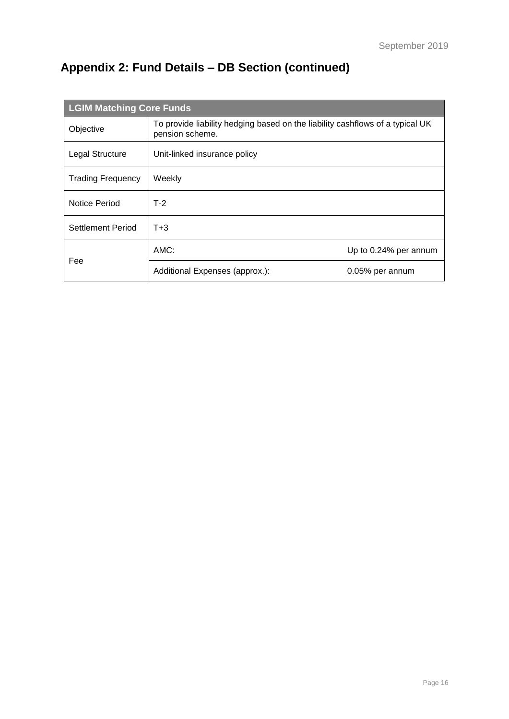# **Appendix 2: Fund Details – DB Section (continued)**

| <b>LGIM Matching Core Funds</b> |                                                                                                  |                       |  |
|---------------------------------|--------------------------------------------------------------------------------------------------|-----------------------|--|
| Objective                       | To provide liability hedging based on the liability cashflows of a typical UK<br>pension scheme. |                       |  |
| Legal Structure                 | Unit-linked insurance policy                                                                     |                       |  |
| <b>Trading Frequency</b>        | Weekly                                                                                           |                       |  |
| Notice Period                   | $T-2$                                                                                            |                       |  |
| Settlement Period               | $T + 3$                                                                                          |                       |  |
|                                 | AMC:                                                                                             | Up to 0.24% per annum |  |
| Fee                             | Additional Expenses (approx.):                                                                   | 0.05% per annum       |  |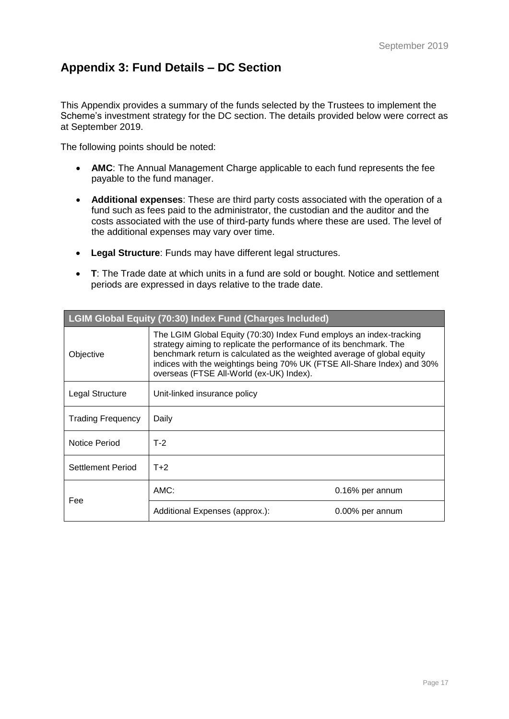# <span id="page-18-0"></span>**Appendix 3: Fund Details – DC Section**

This Appendix provides a summary of the funds selected by the Trustees to implement the Scheme's investment strategy for the DC section. The details provided below were correct as at September 2019.

The following points should be noted:

- **AMC**: The Annual Management Charge applicable to each fund represents the fee payable to the fund manager.
- **Additional expenses**: These are third party costs associated with the operation of a fund such as fees paid to the administrator, the custodian and the auditor and the costs associated with the use of third-party funds where these are used. The level of the additional expenses may vary over time.
- **Legal Structure**: Funds may have different legal structures.
- **T**: The Trade date at which units in a fund are sold or bought. Notice and settlement periods are expressed in days relative to the trade date.

| <b>LGIM Global Equity (70:30) Index Fund (Charges Included)</b> |                                                                                                                                                                                                                                                                                                                                             |                 |  |
|-----------------------------------------------------------------|---------------------------------------------------------------------------------------------------------------------------------------------------------------------------------------------------------------------------------------------------------------------------------------------------------------------------------------------|-----------------|--|
| Objective                                                       | The LGIM Global Equity (70:30) Index Fund employs an index-tracking<br>strategy aiming to replicate the performance of its benchmark. The<br>benchmark return is calculated as the weighted average of global equity<br>indices with the weightings being 70% UK (FTSE All-Share Index) and 30%<br>overseas (FTSE All-World (ex-UK) Index). |                 |  |
| Legal Structure                                                 | Unit-linked insurance policy                                                                                                                                                                                                                                                                                                                |                 |  |
| <b>Trading Frequency</b>                                        | Daily                                                                                                                                                                                                                                                                                                                                       |                 |  |
| Notice Period                                                   | $T-2$                                                                                                                                                                                                                                                                                                                                       |                 |  |
| Settlement Period                                               | $T+2$                                                                                                                                                                                                                                                                                                                                       |                 |  |
| Fee                                                             | AMC:                                                                                                                                                                                                                                                                                                                                        | 0.16% per annum |  |
|                                                                 | Additional Expenses (approx.):                                                                                                                                                                                                                                                                                                              | 0.00% per annum |  |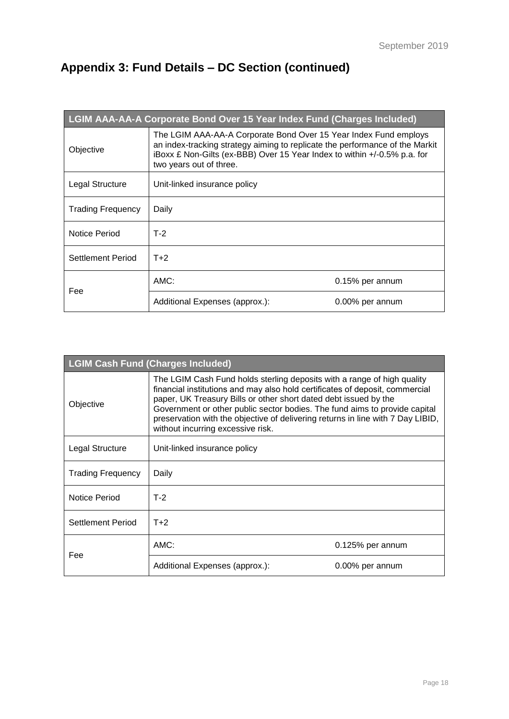# **Appendix 3: Fund Details – DC Section (continued)**

| LGIM AAA-AA-A Corporate Bond Over 15 Year Index Fund (Charges Included) |                                                                                                                                                                                                                                                         |                 |  |
|-------------------------------------------------------------------------|---------------------------------------------------------------------------------------------------------------------------------------------------------------------------------------------------------------------------------------------------------|-----------------|--|
| Objective                                                               | The LGIM AAA-AA-A Corporate Bond Over 15 Year Index Fund employs<br>an index-tracking strategy aiming to replicate the performance of the Markit<br>iBoxx £ Non-Gilts (ex-BBB) Over 15 Year Index to within +/-0.5% p.a. for<br>two years out of three. |                 |  |
| Legal Structure                                                         | Unit-linked insurance policy                                                                                                                                                                                                                            |                 |  |
| <b>Trading Frequency</b>                                                | Daily                                                                                                                                                                                                                                                   |                 |  |
| Notice Period                                                           | $T-2$                                                                                                                                                                                                                                                   |                 |  |
| Settlement Period                                                       | $T+2$                                                                                                                                                                                                                                                   |                 |  |
|                                                                         | AMC:                                                                                                                                                                                                                                                    | 0.15% per annum |  |
| Fee                                                                     | Additional Expenses (approx.):                                                                                                                                                                                                                          | 0.00% per annum |  |

| <b>LGIM Cash Fund (Charges Included)</b>                                                                                                                                                                                                                                                                                                                                                                                                       |                                |                    |  |
|------------------------------------------------------------------------------------------------------------------------------------------------------------------------------------------------------------------------------------------------------------------------------------------------------------------------------------------------------------------------------------------------------------------------------------------------|--------------------------------|--------------------|--|
| The LGIM Cash Fund holds sterling deposits with a range of high quality<br>financial institutions and may also hold certificates of deposit, commercial<br>paper, UK Treasury Bills or other short dated debt issued by the<br>Objective<br>Government or other public sector bodies. The fund aims to provide capital<br>preservation with the objective of delivering returns in line with 7 Day LIBID,<br>without incurring excessive risk. |                                |                    |  |
| Legal Structure                                                                                                                                                                                                                                                                                                                                                                                                                                | Unit-linked insurance policy   |                    |  |
| <b>Trading Frequency</b>                                                                                                                                                                                                                                                                                                                                                                                                                       | Daily                          |                    |  |
| Notice Period                                                                                                                                                                                                                                                                                                                                                                                                                                  | $T-2$                          |                    |  |
| Settlement Period                                                                                                                                                                                                                                                                                                                                                                                                                              | $T+2$                          |                    |  |
| Fee                                                                                                                                                                                                                                                                                                                                                                                                                                            | AMC:                           | $0.125%$ per annum |  |
|                                                                                                                                                                                                                                                                                                                                                                                                                                                | Additional Expenses (approx.): | 0.00% per annum    |  |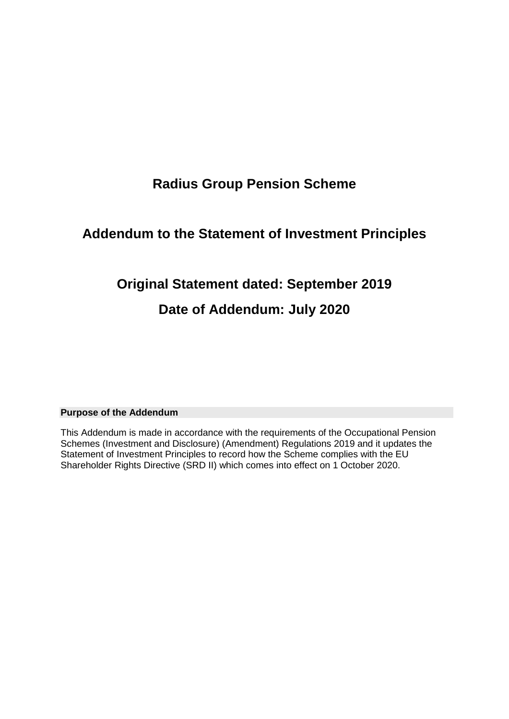# **Radius Group Pension Scheme**

# **Addendum to the Statement of Investment Principles**

# **Original Statement dated: September 2019**

# **Date of Addendum: July 2020**

## **Purpose of the Addendum**

This Addendum is made in accordance with the requirements of the Occupational Pension Schemes (Investment and Disclosure) (Amendment) Regulations 2019 and it updates the Statement of Investment Principles to record how the Scheme complies with the EU Shareholder Rights Directive (SRD II) which comes into effect on 1 October 2020.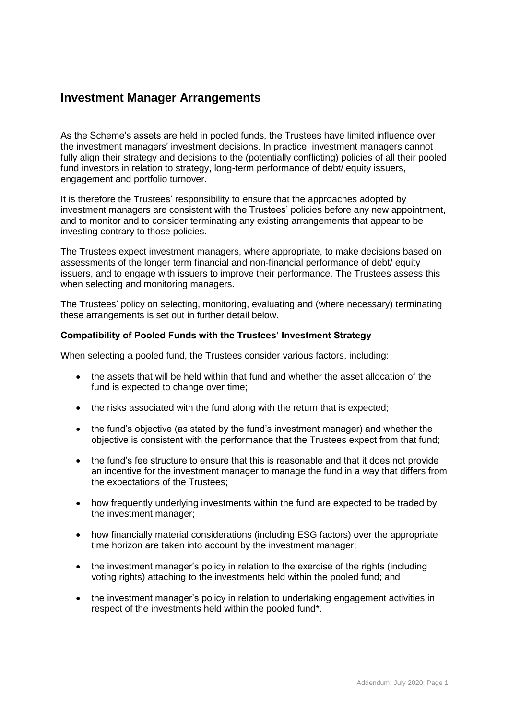## **Investment Manager Arrangements**

As the Scheme's assets are held in pooled funds, the Trustees have limited influence over the investment managers' investment decisions. In practice, investment managers cannot fully align their strategy and decisions to the (potentially conflicting) policies of all their pooled fund investors in relation to strategy, long-term performance of debt/ equity issuers, engagement and portfolio turnover.

It is therefore the Trustees' responsibility to ensure that the approaches adopted by investment managers are consistent with the Trustees' policies before any new appointment, and to monitor and to consider terminating any existing arrangements that appear to be investing contrary to those policies.

The Trustees expect investment managers, where appropriate, to make decisions based on assessments of the longer term financial and non-financial performance of debt/ equity issuers, and to engage with issuers to improve their performance. The Trustees assess this when selecting and monitoring managers.

The Trustees' policy on selecting, monitoring, evaluating and (where necessary) terminating these arrangements is set out in further detail below.

## **Compatibility of Pooled Funds with the Trustees' Investment Strategy**

When selecting a pooled fund, the Trustees consider various factors, including:

- the assets that will be held within that fund and whether the asset allocation of the fund is expected to change over time;
- the risks associated with the fund along with the return that is expected;
- the fund's objective (as stated by the fund's investment manager) and whether the objective is consistent with the performance that the Trustees expect from that fund;
- the fund's fee structure to ensure that this is reasonable and that it does not provide an incentive for the investment manager to manage the fund in a way that differs from the expectations of the Trustees;
- how frequently underlying investments within the fund are expected to be traded by the investment manager;
- how financially material considerations (including ESG factors) over the appropriate time horizon are taken into account by the investment manager;
- the investment manager's policy in relation to the exercise of the rights (including voting rights) attaching to the investments held within the pooled fund; and
- the investment manager's policy in relation to undertaking engagement activities in respect of the investments held within the pooled fund\*.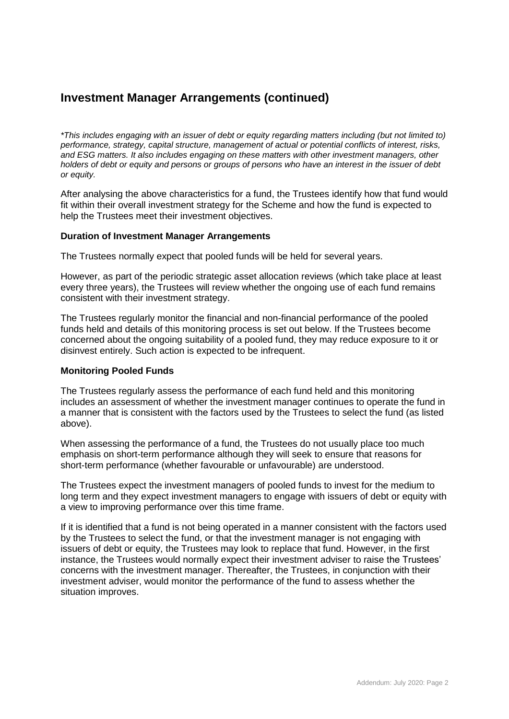## **Investment Manager Arrangements (continued)**

*\*This includes engaging with an issuer of debt or equity regarding matters including (but not limited to) performance, strategy, capital structure, management of actual or potential conflicts of interest, risks, and ESG matters. It also includes engaging on these matters with other investment managers, other holders of debt or equity and persons or groups of persons who have an interest in the issuer of debt or equity.*

After analysing the above characteristics for a fund, the Trustees identify how that fund would fit within their overall investment strategy for the Scheme and how the fund is expected to help the Trustees meet their investment objectives.

## **Duration of Investment Manager Arrangements**

The Trustees normally expect that pooled funds will be held for several years.

However, as part of the periodic strategic asset allocation reviews (which take place at least every three years), the Trustees will review whether the ongoing use of each fund remains consistent with their investment strategy.

The Trustees regularly monitor the financial and non-financial performance of the pooled funds held and details of this monitoring process is set out below. If the Trustees become concerned about the ongoing suitability of a pooled fund, they may reduce exposure to it or disinvest entirely. Such action is expected to be infrequent.

#### **Monitoring Pooled Funds**

The Trustees regularly assess the performance of each fund held and this monitoring includes an assessment of whether the investment manager continues to operate the fund in a manner that is consistent with the factors used by the Trustees to select the fund (as listed above).

When assessing the performance of a fund, the Trustees do not usually place too much emphasis on short-term performance although they will seek to ensure that reasons for short-term performance (whether favourable or unfavourable) are understood.

The Trustees expect the investment managers of pooled funds to invest for the medium to long term and they expect investment managers to engage with issuers of debt or equity with a view to improving performance over this time frame.

If it is identified that a fund is not being operated in a manner consistent with the factors used by the Trustees to select the fund, or that the investment manager is not engaging with issuers of debt or equity, the Trustees may look to replace that fund. However, in the first instance, the Trustees would normally expect their investment adviser to raise the Trustees' concerns with the investment manager. Thereafter, the Trustees, in conjunction with their investment adviser, would monitor the performance of the fund to assess whether the situation improves.